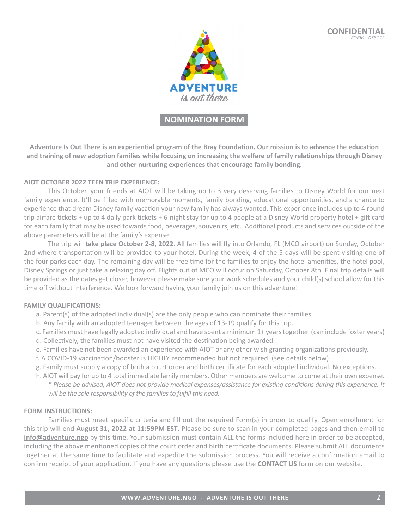

## **NOMINATION FORM**

**Adventure Is Out There is an experiential program of the Bray Foundation. Our mission is to advance the education and training of new adoption families while focusing on increasing the welfare of family relationships through Disney and other nurturing experiences that encourage family bonding.**

### **AIOT OCTOBER 2022 TEEN TRIP EXPERIENCE:**

This October, your friends at AIOT will be taking up to 3 very deserving families to Disney World for our next family experience. It'll be filled with memorable moments, family bonding, educational opportunities, and a chance to experience that dream Disney family vacation your new family has always wanted. This experience includes up to 4 round trip airfare tickets + up to 4 daily park tickets + 6-night stay for up to 4 people at a Disney World property hotel + gift card for each family that may be used towards food, beverages, souvenirs, etc. Additional products and services outside of the above parameters will be at the family's expense.

The trip will **take place October 2-8, 2022**. All families will fly into Orlando, FL (MCO airport) on Sunday, October 2nd where transportation will be provided to your hotel. During the week, 4 of the 5 days will be spent visiting one of the four parks each day. The remaining day will be free time for the families to enjoy the hotel amenities, the hotel pool, Disney Springs or just take a relaxing day off. Flights out of MCO will occur on Saturday, October 8th. Final trip details will be provided as the dates get closer, however please make sure your work schedules and your child(s) school allow for this time off without interference. We look forward having your family join us on this adventure!

### **FAMILY QUALIFICATIONS:**

- a. Parent(s) of the adopted individual(s) are the only people who can nominate their families.
- b. Any family with an adopted teenager between the ages of 13-19 qualify for this trip.
- c. Families must have legally adopted individual and have spent a minimum 1+ years together. (can include foster years)
- d. Collectively, the families must not have visited the destination being awarded.
- e. Families have not been awarded an experience with AIOT or any other wish granting organizations previously.
- f. A COVID-19 vaccination/booster is HIGHLY recommended but not required. (see details below)
- g. Family must supply a copy of both a court order and birth certificate for each adopted individual. No exceptions.
- h. AIOT will pay for up to 4 total immediate family members. Other members are welcome to come at their own expense. *\* Please be advised, AIOT does not provide medical expenses/assistance for existing conditions during this experience. It will be the sole responsibility of the families to fulfill this need.*

### **FORM INSTRUCTIONS:**

Families must meet specific criteria and fill out the required Form(s) in order to qualify. Open enrollment for this trip will end **August 31, 2022 at 11:59PM EST**. Please be sure to scan in your completed pages and then email to **info@adventure.ngo** by this time. Your submission must contain ALL the forms included here in order to be accepted, including the above mentioned copies of the court order and birth certificate documents. Please submit ALL documents together at the same time to facilitate and expedite the submission process. You will receive a confirmation email to confirm receipt of your application. If you have any questions please use the **CONTACT US** form on our website.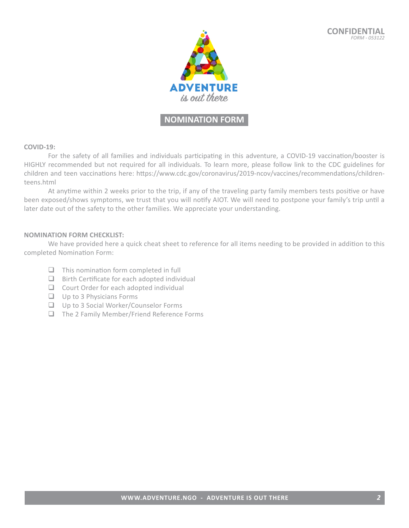

## **NOMINATION FORM**

#### **COVID-19:**

For the safety of all families and individuals participating in this adventure, a COVID-19 vaccination/booster is HIGHLY recommended but not required for all individuals. To learn more, please follow link to the CDC guidelines for children and teen vaccinations here: https://www.cdc.gov/coronavirus/2019-ncov/vaccines/recommendations/childrenteens.html

At anytime within 2 weeks prior to the trip, if any of the traveling party family members tests positive or have been exposed/shows symptoms, we trust that you will notify AIOT. We will need to postpone your family's trip until a later date out of the safety to the other families. We appreciate your understanding.

### **NOMINATION FORM CHECKLIST:**

We have provided here a quick cheat sheet to reference for all items needing to be provided in addition to this completed Nomination Form:

- $\Box$  This nomination form completed in full
- $\Box$  Birth Certificate for each adopted individual
- $\Box$  Court Order for each adopted individual
- $\Box$  Up to 3 Physicians Forms
- **Q** Up to 3 Social Worker/Counselor Forms
- $\Box$  The 2 Family Member/Friend Reference Forms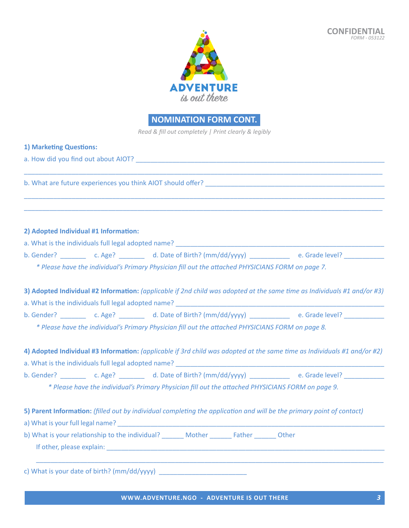

*Read & fill out completely | Print clearly & legibly*

| 1) Marketing Questions:                                                                                                                                                                                                                                                                                                                                    |
|------------------------------------------------------------------------------------------------------------------------------------------------------------------------------------------------------------------------------------------------------------------------------------------------------------------------------------------------------------|
|                                                                                                                                                                                                                                                                                                                                                            |
|                                                                                                                                                                                                                                                                                                                                                            |
|                                                                                                                                                                                                                                                                                                                                                            |
| 2) Adopted Individual #1 Information:                                                                                                                                                                                                                                                                                                                      |
|                                                                                                                                                                                                                                                                                                                                                            |
| b. Gender? ____________ c. Age? ___________ d. Date of Birth? (mm/dd/yyyy) _______________ e. Grade level? ___________                                                                                                                                                                                                                                     |
| * Please have the individual's Primary Physician fill out the attached PHYSICIANS FORM on page 7.                                                                                                                                                                                                                                                          |
| 3) Adopted Individual #2 Information: (applicable if 2nd child was adopted at the same time as Individuals #1 and/or #3)<br>a. What is the individuals full legal adopted name? [14] [2012] [2013] [2014] [2014] [2014] [2014] [2014] [2014] [2014] [2014] [2014] [2014] [2014] [2014] [2014] [2014] [2014] [2014] [2014] [2014] [2014] [2014] [2014] [201 |
| b. Gender? ____________ c. Age? ____________ d. Date of Birth? (mm/dd/yyyy) _______________ e. Grade level? _____________                                                                                                                                                                                                                                  |
| * Please have the individual's Primary Physician fill out the attached PHYSICIANS FORM on page 8.                                                                                                                                                                                                                                                          |
| 4) Adopted Individual #3 Information: (applicable if 3rd child was adopted at the same time as Individuals #1 and/or #2)<br>a. What is the individuals full legal adopted name? And the same control of the same control of the same control of the same control of the same control of the same control of the same control of the same control of the sa |
| b. Gender? ____________ c. Age? ___________ d. Date of Birth? (mm/dd/yyyy) _______________ e. Grade level? __________                                                                                                                                                                                                                                      |
| * Please have the individual's Primary Physician fill out the attached PHYSICIANS FORM on page 9.                                                                                                                                                                                                                                                          |
| 5) Parent Information: (filled out by individual completing the application and will be the primary point of contact)                                                                                                                                                                                                                                      |
| b) What is your relationship to the individual? ________ Mother ________ Father ________ Other<br>If other, please explain: The contract of the contract of the contract of the contract of the contract of the contract of the contract of the contract of the contract of the contract of the contract of the contract of the                            |
|                                                                                                                                                                                                                                                                                                                                                            |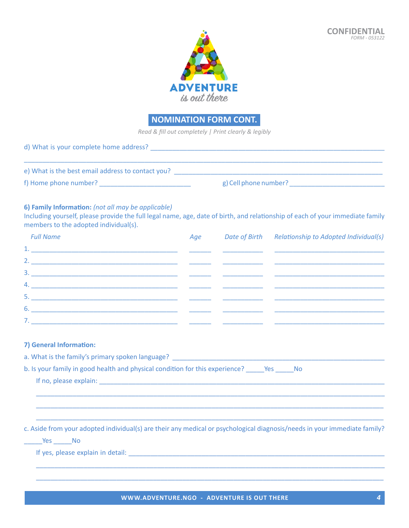

*Read & fill out completely | Print clearly & legibly*

| d) What is your complete home address?            |                       |  |
|---------------------------------------------------|-----------------------|--|
| e) What is the best email address to contact you? |                       |  |
| f) Home phone number?                             | g) Cell phone number? |  |

### **6) Family Information:** *(not all may be applicable)*

Including yourself, please provide the full legal name, age, date of birth, and relationship of each of your immediate family members to the adopted individual(s).

| <b>Full Name</b>                     | Age | Date of Birth Relationship to Adopted Individual(s) |
|--------------------------------------|-----|-----------------------------------------------------|
| <u>1. __________________________</u> |     |                                                     |
|                                      |     |                                                     |
|                                      |     |                                                     |
|                                      |     |                                                     |
|                                      |     |                                                     |
|                                      |     |                                                     |
| 7.                                   |     |                                                     |

### **7) General Information:**

| a. What is the family's primary spoken language?                                                 |  |
|--------------------------------------------------------------------------------------------------|--|
| b. Is your family in good health and physical condition for this experience?<br>Yes<br><b>No</b> |  |
| If no, please explain:                                                                           |  |

\_\_\_\_\_\_\_\_\_\_\_\_\_\_\_\_\_\_\_\_\_\_\_\_\_\_\_\_\_\_\_\_\_\_\_\_\_\_\_\_\_\_\_\_\_\_\_\_\_\_\_\_\_\_\_\_\_\_\_\_\_\_\_\_\_\_\_\_\_\_\_\_\_\_\_\_\_\_\_\_\_\_\_\_\_\_\_\_\_\_\_\_\_\_\_ c. Aside from your adopted individual(s) are their any medical or psychological diagnosis/needs in your immediate family?

\_\_\_\_\_\_\_\_\_\_\_\_\_\_\_\_\_\_\_\_\_\_\_\_\_\_\_\_\_\_\_\_\_\_\_\_\_\_\_\_\_\_\_\_\_\_\_\_\_\_\_\_\_\_\_\_\_\_\_\_\_\_\_\_\_\_\_\_\_\_\_\_\_\_\_\_\_\_\_\_\_\_\_\_\_\_\_\_\_\_\_\_\_\_\_ \_\_\_\_\_\_\_\_\_\_\_\_\_\_\_\_\_\_\_\_\_\_\_\_\_\_\_\_\_\_\_\_\_\_\_\_\_\_\_\_\_\_\_\_\_\_\_\_\_\_\_\_\_\_\_\_\_\_\_\_\_\_\_\_\_\_\_\_\_\_\_\_\_\_\_\_\_\_\_\_\_\_\_\_\_\_\_\_\_\_\_\_\_\_\_

 $\rule{1em}{0.15mm}$   $\qquad$   $\qquad$   $\qquad$   $\qquad$   $\qquad$   $\qquad$   $\qquad$   $\qquad$   $\qquad$   $\qquad$   $\qquad$   $\qquad$   $\qquad$   $\qquad$   $\qquad$   $\qquad$   $\qquad$   $\qquad$   $\qquad$   $\qquad$   $\qquad$   $\qquad$   $\qquad$   $\qquad$   $\qquad$   $\qquad$   $\qquad$   $\qquad$   $\qquad$   $\qquad$   $\qquad$   $\qquad$   $\qquad$   $\qquad$   $\$ 

If yes, please explain in detail: **Example 2018** and the set of the set of the set of the set of the set of the set of the set of the set of the set of the set of the set of the set of the set of the set of the set of the

\_\_\_\_\_\_\_\_\_\_\_\_\_\_\_\_\_\_\_\_\_\_\_\_\_\_\_\_\_\_\_\_\_\_\_\_\_\_\_\_\_\_\_\_\_\_\_\_\_\_\_\_\_\_\_\_\_\_\_\_\_\_\_\_\_\_\_\_\_\_\_\_\_\_\_\_\_\_\_\_\_\_\_\_\_\_\_\_\_\_\_\_\_\_\_ \_\_\_\_\_\_\_\_\_\_\_\_\_\_\_\_\_\_\_\_\_\_\_\_\_\_\_\_\_\_\_\_\_\_\_\_\_\_\_\_\_\_\_\_\_\_\_\_\_\_\_\_\_\_\_\_\_\_\_\_\_\_\_\_\_\_\_\_\_\_\_\_\_\_\_\_\_\_\_\_\_\_\_\_\_\_\_\_\_\_\_\_\_\_\_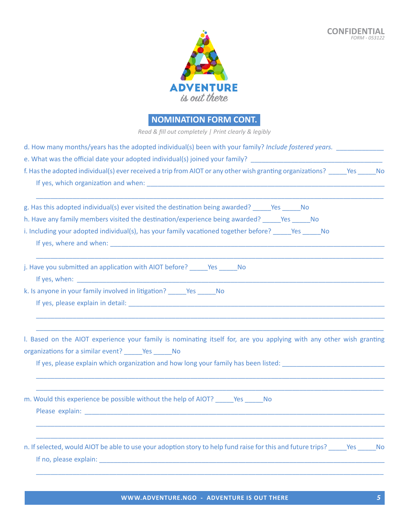

*Read & fill out completely | Print clearly & legibly*

| d. How many months/years has the adopted individual(s) been with your family? Include fostered years.                                                                                                                          |
|--------------------------------------------------------------------------------------------------------------------------------------------------------------------------------------------------------------------------------|
| e. What was the official date your adopted individual(s) joined your family? _________________________________                                                                                                                 |
| f. Has the adopted individual(s) ever received a trip from AIOT or any other wish granting organizations? Pes No                                                                                                               |
| g. Has this adopted individual(s) ever visited the destination being awarded? Preshigned and No                                                                                                                                |
| h. Have any family members visited the destination/experience being awarded? _____Yes _____No                                                                                                                                  |
| i. Including your adopted individual(s), has your family vacationed together before? Yes No<br>If yes, where and when: the same state of the state of the state of the state of the state of the state of the                  |
| j. Have you submitted an application with AIOT before? No No                                                                                                                                                                   |
| If yes, when: The contract of the contract of the contract of the contract of the contract of the contract of the contract of the contract of the contract of the contract of the contract of the contract of the contract of  |
| k. Is anyone in your family involved in litigation? _______ Yes ______ No                                                                                                                                                      |
|                                                                                                                                                                                                                                |
| I. Based on the AIOT experience your family is nominating itself for, are you applying with any other wish granting                                                                                                            |
| organizations for a similar event? ______ Yes ______ No                                                                                                                                                                        |
| If yes, please explain which organization and how long your family has been listed: __________________________                                                                                                                 |
| m. Would this experience be possible without the help of AIOT? ______ Yes ______ No                                                                                                                                            |
|                                                                                                                                                                                                                                |
| n. If selected, would AIOT be able to use your adoption story to help fund raise for this and future trips? Yes No                                                                                                             |
| If no, please explain: The contract of the contract of the contract of the contract of the contract of the contract of the contract of the contract of the contract of the contract of the contract of the contract of the con |

\_\_\_\_\_\_\_\_\_\_\_\_\_\_\_\_\_\_\_\_\_\_\_\_\_\_\_\_\_\_\_\_\_\_\_\_\_\_\_\_\_\_\_\_\_\_\_\_\_\_\_\_\_\_\_\_\_\_\_\_\_\_\_\_\_\_\_\_\_\_\_\_\_\_\_\_\_\_\_\_\_\_\_\_\_\_\_\_\_\_\_\_\_\_\_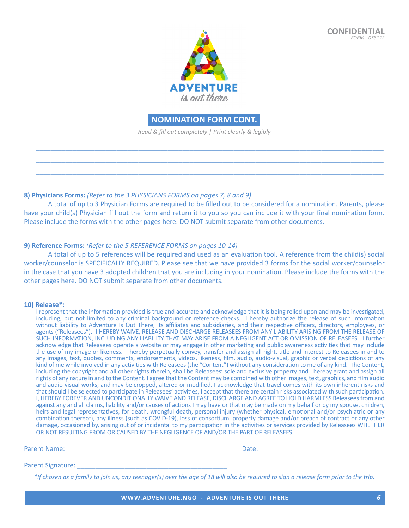

*Read & fill out completely | Print clearly & legibly*

\_\_\_\_\_\_\_\_\_\_\_\_\_\_\_\_\_\_\_\_\_\_\_\_\_\_\_\_\_\_\_\_\_\_\_\_\_\_\_\_\_\_\_\_\_\_\_\_\_\_\_\_\_\_\_\_\_\_\_\_\_\_\_\_\_\_\_\_\_\_\_\_\_\_\_\_\_\_\_\_\_\_\_\_\_\_\_\_\_\_\_\_\_\_\_ \_\_\_\_\_\_\_\_\_\_\_\_\_\_\_\_\_\_\_\_\_\_\_\_\_\_\_\_\_\_\_\_\_\_\_\_\_\_\_\_\_\_\_\_\_\_\_\_\_\_\_\_\_\_\_\_\_\_\_\_\_\_\_\_\_\_\_\_\_\_\_\_\_\_\_\_\_\_\_\_\_\_\_\_\_\_\_\_\_\_\_\_\_\_\_ \_\_\_\_\_\_\_\_\_\_\_\_\_\_\_\_\_\_\_\_\_\_\_\_\_\_\_\_\_\_\_\_\_\_\_\_\_\_\_\_\_\_\_\_\_\_\_\_\_\_\_\_\_\_\_\_\_\_\_\_\_\_\_\_\_\_\_\_\_\_\_\_\_\_\_\_\_\_\_\_\_\_\_\_\_\_\_\_\_\_\_\_\_\_\_

### **8) Physicians Forms:** *(Refer to the 3 PHYSICIANS FORMS on pages 7, 8 and 9)*

A total of up to 3 Physician Forms are required to be filled out to be considered for a nomination. Parents, please have your child(s) Physician fill out the form and return it to you so you can include it with your final nomination form. Please include the forms with the other pages here. DO NOT submit separate from other documents.

### **9) Reference Forms:** *(Refer to the 5 REFERENCE FORMS on pages 10-14)*

A total of up to 5 references will be required and used as an evaluation tool. A reference from the child(s) social worker/counselor is SPECIFICALLY REQUIRED. Please see that we have provided 3 forms for the social worker/counselor in the case that you have 3 adopted children that you are including in your nomination. Please include the forms with the other pages here. DO NOT submit separate from other documents.

### **10) Release\*:**

I represent that the information provided is true and accurate and acknowledge that it is being relied upon and may be investigated, including, but not limited to any criminal background or reference checks. I hereby authorize the release of such information without liability to Adventure Is Out There, its affiliates and subsidiaries, and their respective officers, directors, employees, or agents ("Releasees"). I HEREBY WAIVE, RELEASE AND DISCHARGE RELEASEES FROM ANY LIABILITY ARISING FROM THE RELEASE OF SUCH INFORMATION, INCLUDING ANY LIABILITY THAT MAY ARISE FROM A NEGLIGENT ACT OR OMISSION OF RELEASEES. I further acknowledge that Releasees operate a website or may engage in other marketing and public awareness activities that may include the use of my image or likeness. I hereby perpetually convey, transfer and assign all right, title and interest to Releasees in and to any images, text, quotes, comments, endorsements, videos, likeness, film, audio, audio-visual, graphic or verbal depictions of any kind of me while involved in any activities with Releasees (the "Content") without any consideration to me of any kind. The Content, including the copyright and all other rights therein, shall be Releasees' sole and exclusive property and I hereby grant and assign all rights of any nature in and to the Content. I agree that the Content may be combined with other images, text, graphics, and film audio and audio-visual works; and may be cropped, altered or modified. I acknowledge that travel comes with its own inherent risks and that should I be selected to participate in Releasees' activities, I accept that there are certain risks associated with such participation. I, HEREBY FOREVER AND UNCONDITIONALLY WAIVE AND RELEASE, DISCHARGE AND AGREE TO HOLD HARMLESS Releasees from and against any and all claims, liability and/or causes of actions I may have or that may be made on my behalf or by my spouse, children, heirs and legal representatives, for death, wrongful death, personal injury (whether physical, emotional and/or psychiatric or any combination thereof), any illness (such as COVID-19), loss of consortium, property damage and/or breach of contract or any other damage, occasioned by, arising out of or incidental to my participation in the activities or services provided by Releasees WHETHER OR NOT RESULTING FROM OR CAUSED BY THE NEGLIGENCE OF AND/OR THE PART OF RELEASEES.

Parent Name: \_\_\_\_\_\_\_\_\_\_\_\_\_\_\_\_\_\_\_\_\_\_\_\_\_\_\_\_\_\_\_\_\_\_\_\_\_\_\_\_\_\_\_\_ Date: \_\_\_\_\_\_\_\_\_\_\_\_\_\_\_\_\_\_\_\_\_\_\_\_\_\_\_\_\_\_\_\_\_\_

### Parent Signature:

*\*If chosen as a family to join us, any teenager(s) over the age of 18 will also be required to sign a release form prior to the trip.*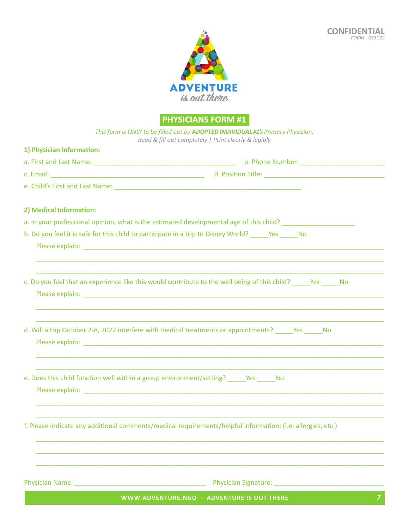

**PHYSICIANS FORM #1**

|                           | This form is ONLY to be filled out by ADOPTED INDIVIDUAL #1's Primary Physician.<br>Read & fill out completely   Print clearly & legibly |
|---------------------------|------------------------------------------------------------------------------------------------------------------------------------------|
| 1) Physician Information: |                                                                                                                                          |
|                           | b. Phone Number: ________________                                                                                                        |
|                           |                                                                                                                                          |
|                           |                                                                                                                                          |
| 2) Medical Information:   |                                                                                                                                          |
|                           | a. In your professional opinion, what is the estimated developmental age of this child? ______________________                           |
|                           | b. Do you feel it is safe for this child to participate in a trip to Disney World? ______ Yes _____ No                                   |
|                           | c. Do you feel that an experience like this would contribute to the well being of this child? Yes No                                     |
|                           | d. Will a trip October 2-8, 2022 interfere with medical treatments or appointments? ______Yes ______No                                   |
|                           | e. Does this child function well within a group environment/setting? ______Yes ______No                                                  |
|                           | f. Please indicate any additional comments/medical requirements/helpful information: (i.e. allergies, etc.)                              |
|                           | <b>Physician Signature:</b>                                                                                                              |
|                           | $\overline{z}$<br>WWW.ADVENTURE.NGO - ADVENTURE IS OUT THERE                                                                             |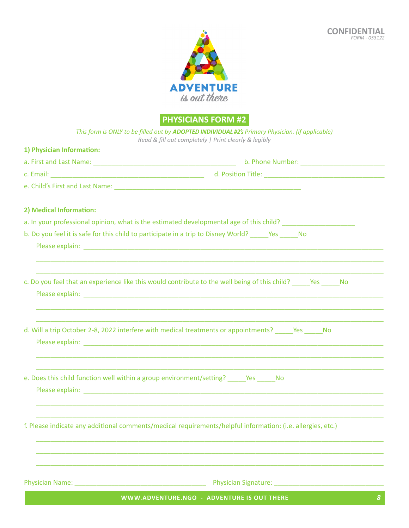

**PHYSICIANS FORM #2**

| 2) Medical Information:                                                                 |                                                                                                                                                                                                                                                                                                                                                                   |
|-----------------------------------------------------------------------------------------|-------------------------------------------------------------------------------------------------------------------------------------------------------------------------------------------------------------------------------------------------------------------------------------------------------------------------------------------------------------------|
|                                                                                         | a. In your professional opinion, what is the estimated developmental age of this child? ______________________                                                                                                                                                                                                                                                    |
|                                                                                         | b. Do you feel it is safe for this child to participate in a trip to Disney World? Yes No                                                                                                                                                                                                                                                                         |
|                                                                                         | <u> 1990 - Jan James James James James James James James James James James James James James James James James J</u><br>c. Do you feel that an experience like this would contribute to the well being of this child? ______Yes ______No<br><u> 1999 - Jan James James James James James James James James James James James James James James James James Ja</u> |
|                                                                                         | d. Will a trip October 2-8, 2022 interfere with medical treatments or appointments? ______ Yes ______ No<br>,我们也不会有什么。""我们的人,我们也不会有什么?""我们的人,我们也不会有什么?""我们的人,我们也不会有什么?""我们的人,我们也不会有什么?""我们的人                                                                                                                                                                      |
| e. Does this child function well within a group environment/setting? ______Yes ______No |                                                                                                                                                                                                                                                                                                                                                                   |
|                                                                                         | f. Please indicate any additional comments/medical requirements/helpful information: (i.e. allergies, etc.)                                                                                                                                                                                                                                                       |
|                                                                                         | Physician Signature: National American School and American School and American School and American School and                                                                                                                                                                                                                                                     |
|                                                                                         | WWW.ADVENTURE.NGO - ADVENTURE IS OUT THERE<br>8                                                                                                                                                                                                                                                                                                                   |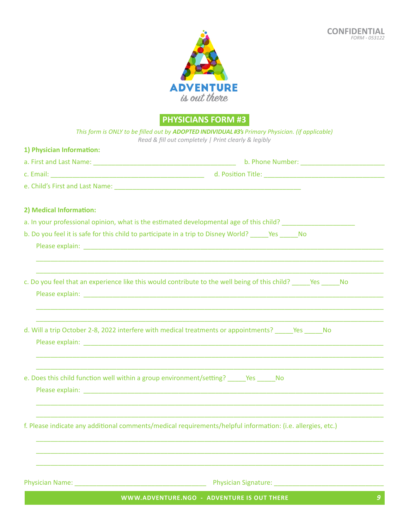

**PHYSICIANS FORM #3**

| This form is ONLY to be filled out by ADOPTED INDIVIDUAL #3's Primary Physician. (if applicable)<br>Read & fill out completely   Print clearly & legibly                                                                       |
|--------------------------------------------------------------------------------------------------------------------------------------------------------------------------------------------------------------------------------|
| 1) Physician Information:                                                                                                                                                                                                      |
| a. First and Last Name: 1990 Manual Communication of the Mumber: 2001 Manual Communication of the Mumber:                                                                                                                      |
|                                                                                                                                                                                                                                |
|                                                                                                                                                                                                                                |
| 2) Medical Information:                                                                                                                                                                                                        |
| a. In your professional opinion, what is the estimated developmental age of this child? ______________________                                                                                                                 |
| b. Do you feel it is safe for this child to participate in a trip to Disney World? ______ Yes _____ No                                                                                                                         |
| c. Do you feel that an experience like this would contribute to the well being of this child? ______Yes ______No                                                                                                               |
| d. Will a trip October 2-8, 2022 interfere with medical treatments or appointments? ______Yes ______ No                                                                                                                        |
| e. Does this child function well within a group environment/setting? _______________________________                                                                                                                           |
| f. Please indicate any additional comments/medical requirements/helpful information: (i.e. allergies, etc.)                                                                                                                    |
| Physician Signature: National Action of the Contractor of the Contractor of the Contractor of the Contractor of the Contractor of the Contractor of the Contractor of the Contractor of the Contractor of the Contractor of th |
| WWW.ADVENTURE.NGO - ADVENTURE IS OUT THERE<br>$\boldsymbol{g}$                                                                                                                                                                 |
|                                                                                                                                                                                                                                |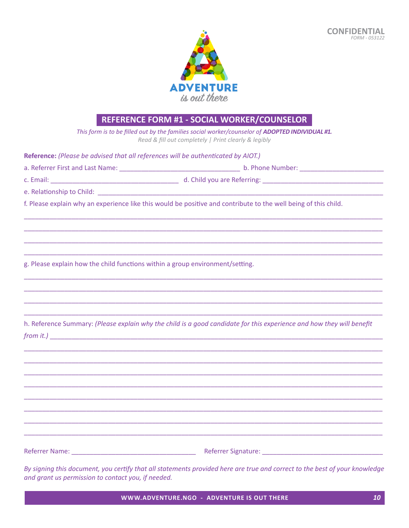

# REFERENCE FORM #1 - SOCIAL WORKER/COUNSELOR

This form is to be filled out by the families social worker/counselor of ADOPTED INDIVIDUAL #1. Read & fill out completely | Print clearly & legibly

Reference: (Please be advised that all references will be authenticated by AIOT.)

| a. Referrer First and Last Name: | b. Phone Number: |  |
|----------------------------------|------------------|--|
|                                  |                  |  |

c. Email: The contract of the contract of the contract of the contract of the contract of the contract of the contract of the contract of the contract of the contract of the contract of the contract of the contract of the

d. Child you are Referring:

e. Relationship to Child:

f. Please explain why an experience like this would be positive and contribute to the well being of this child.

g. Please explain how the child functions within a group environment/setting.

h. Reference Summary: (Please explain why the child is a good candidate for this experience and how they will benefit  $from it.$ )

Referrer Name: Name: Name and American Contract Contract Contract Contract Contract Contract Contract Contract Contract Contract Contract Contract Contract Contract Contract Contract Contract Contract Contract Contract Con

By signing this document, you certify that all statements provided here are true and correct to the best of your knowledge and grant us permission to contact you, if needed.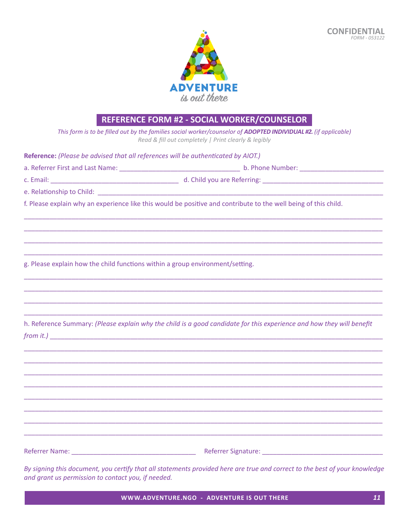

# REFERENCE FORM #2 - SOCIAL WORKER/COUNSELOR

This form is to be filled out by the families social worker/counselor of ADOPTED INDIVIDUAL #2. (if applicable) Read & fill out completely | Print clearly & legibly

Reference: (Please be advised that all references will be authenticated by AIOT.)

| a. Referrer First and Last Name: | b. Phone Number:            |
|----------------------------------|-----------------------------|
| c. Email:                        | d. Child you are Referring: |

e. Relationship to Child:

f. Please explain why an experience like this would be positive and contribute to the well being of this child.

g. Please explain how the child functions within a group environment/setting.

h. Reference Summary: (Please explain why the child is a good candidate for this experience and how they will benefit  $from it.$ )

Referrer Name: Name: Name and Name and Name and Name and Name and Name and Name and Name and Name and Name and N

By signing this document, you certify that all statements provided here are true and correct to the best of your knowledge and grant us permission to contact you, if needed.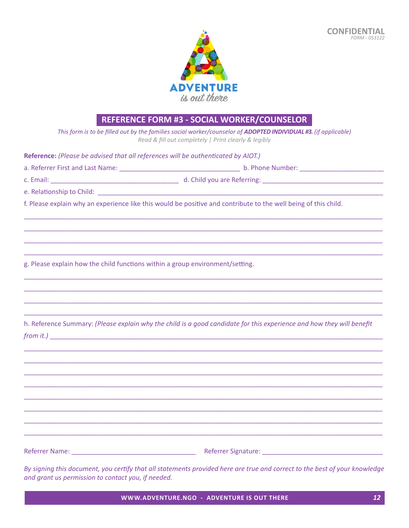

# **REFERENCE FORM #3 - SOCIAL WORKER/COUNSELOR**

This form is to be filled out by the families social worker/counselor of ADOPTED INDIVIDUAL #3. (if applicable) Read & fill out completely | Print clearly & legibly

Reference: (Please be advised that all references will be authenticated by AIOT.)

| a. Referrer First and Last Name: | b. Phone Number:            |
|----------------------------------|-----------------------------|
| c. Email:                        | d. Child you are Referring: |

e. Relationship to Child:

f. Please explain why an experience like this would be positive and contribute to the well being of this child.

g. Please explain how the child functions within a group environment/setting.

h. Reference Summary: (Please explain why the child is a good candidate for this experience and how they will benefit  $from it.$ )

Referrer Name: Name: Name and Name and Name and Name and Name and Name and Name and Name and Name and Name and N

By signing this document, you certify that all statements provided here are true and correct to the best of your knowledge and grant us permission to contact you, if needed.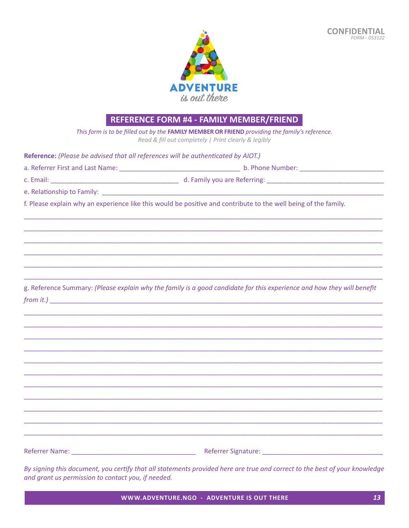

# REFERENCE FORM #4 - FAMILY MEMBER/FRIEND

This form is to be filled out by the FAMILY MEMBER OR FRIEND providing the family's reference. Read & fill out completely | Print clearly & legibly

Reference: (Please be advised that all references will be authenticated by AIOT.)

| a. Referrer First and Last Name: | b. Phone Number:             |
|----------------------------------|------------------------------|
| c. Email:                        | d. Family you are Referring: |

e. Relationship to Family:

f. Please explain why an experience like this would be positive and contribute to the well being of the family.

g. Reference Summary: (Please explain why the family is a good candidate for this experience and how they will benefit from it.)

Referrer Name: Name: Name and Name and Name and Name and Name and Name and Name and Name and Name and Name and N

By signing this document, you certify that all statements provided here are true and correct to the best of your knowledge and grant us permission to contact you, if needed.